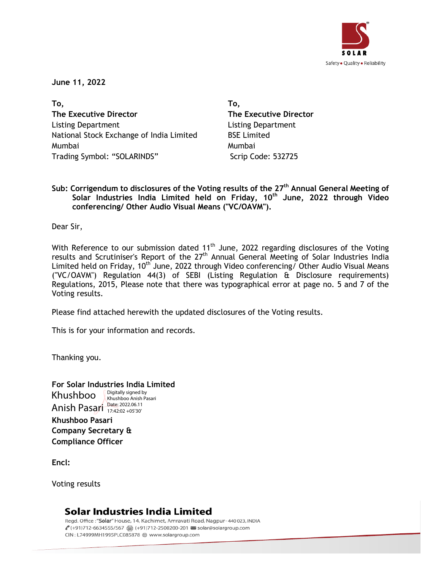

**June 11, 2022**

**To, The Executive Director**  Listing Department National Stock Exchange of India Limited Mumbai Trading Symbol: "SOLARINDS" Scrip Code: 532725

**To, The Executive Director** Listing Department BSE Limited Mumbai

**Sub: Corrigendum to disclosures of the Voting results of the 27th Annual General Meeting of Solar Industries India Limited held on Friday, 10th June, 2022 through Video conferencing/ Other Audio Visual Means ("VC/OAVM").**

Dear Sir,

With Reference to our submission dated  $11<sup>th</sup>$  June, 2022 regarding disclosures of the Voting results and Scrutiniser's Report of the 27<sup>th</sup> Annual General Meeting of Solar Industries India Limited held on Friday, 10<sup>th</sup> June, 2022 through Video conferencing/ Other Audio Visual Means ("VC/OAVM") Regulation 44(3) of SEBI (Listing Regulation & Disclosure requirements) Regulations, 2015, Please note that there was typographical error at page no. 5 and 7 of the Voting results.

Please find attached herewith the updated disclosures of the Voting results.

This is for your information and records.

Thanking you.

**For Solar Industries India Limited Khushboo Pasari Company Secretary &** Khushboo Anish Pasari Date: 2022.06.11 Digitally signed by Khushboo Anish Pasari 17:42:02 +05'30'

**Encl:**

Voting results

**Compliance Officer**

# Solar Industries India Limited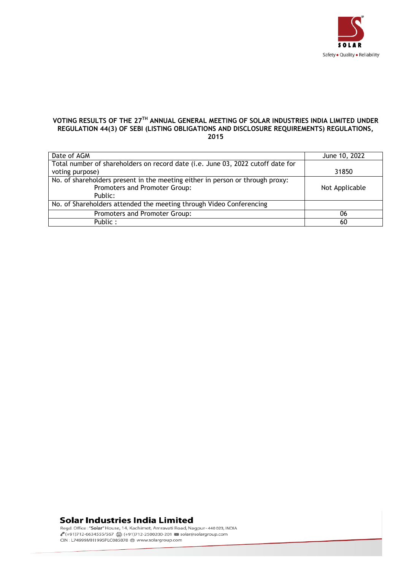

#### **VOTING RESULTS OF THE 27 TH ANNUAL GENERAL MEETING OF SOLAR INDUSTRIES INDIA LIMITED UNDER REGULATION 44(3) OF SEBI (LISTING OBLIGATIONS AND DISCLOSURE REQUIREMENTS) REGULATIONS, 2015**

| Date of AGM                                                                     | June 10, 2022  |
|---------------------------------------------------------------------------------|----------------|
| Total number of shareholders on record date (i.e. June 03, 2022 cutoff date for |                |
| voting purpose)                                                                 | 31850          |
| No. of shareholders present in the meeting either in person or through proxy:   |                |
| Promoters and Promoter Group:                                                   | Not Applicable |
| Public:                                                                         |                |
| No. of Shareholders attended the meeting through Video Conferencing             |                |
| Promoters and Promoter Group:                                                   | 06             |
| Public:                                                                         | 60             |

## **Solar Industries India Limited**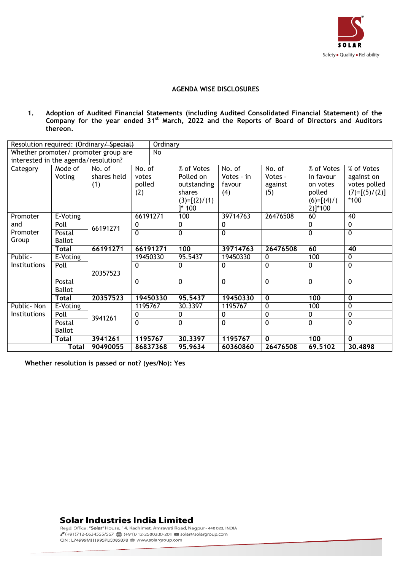

#### **AGENDA WISE DISCLOSURES**

**1. Adoption of Audited Financial Statements (including Audited Consolidated Financial Statement) of the Company for the year ended 31st March, 2022 and the Reports of Board of Directors and Auditors thereon.**

|                                      |               | Resolution required: (Ordinary/Special) | Ordinary |                |                |                         |              |                 |
|--------------------------------------|---------------|-----------------------------------------|----------|----------------|----------------|-------------------------|--------------|-----------------|
|                                      |               | Whether promoter/ promoter group are    | No       |                |                |                         |              |                 |
| interested in the agenda/resolution? |               |                                         |          |                |                |                         |              |                 |
| Category                             | Mode of       | No. of                                  | No. of   | % of Votes     | No. of         | No. of                  | % of Votes   | % of Votes      |
|                                      | Voting        | shares held                             | votes    | Polled on      | Votes - in     | Votes -                 | in favour    | against on      |
|                                      |               | (1)                                     | polled   | outstanding    | favour         | against                 | on votes     | votes polled    |
|                                      |               |                                         | (2)      | shares         | (4)            | (5)                     | polled       | $(7)=[(5)/(2)]$ |
|                                      |               |                                         |          | $(3)=[(2)/(1)$ |                |                         | $(6)=[(4)/($ | $*100$          |
|                                      |               |                                         |          | $]^{*}$ 100    |                |                         | 2)]*100      |                 |
| Promoter                             | E-Voting      |                                         | 66191271 | 100            | 39714763       | 26476508                | 60           | $\overline{40}$ |
| and                                  | Poll          | 66191271                                | 0        | 0              | 0              |                         | 0            | 0               |
| Promoter                             | Postal        |                                         | 0        | $\mathbf{0}$   | 0              |                         | $\Omega$     | $\mathbf 0$     |
| Group                                | <b>Ballot</b> |                                         |          |                |                |                         |              |                 |
|                                      | Total         | 66191271                                | 66191271 | 100            | 39714763       | 26476508                | 60           | 40              |
| Public-                              | E-Voting      |                                         | 19450330 | 95.5437        | 19450330       | $\mathbf 0$             | 100          | 0               |
| Institutions                         | Poll          |                                         | 0        | $\Omega$       | $\mathbf{0}$   | 0                       | 0            | $\Omega$        |
|                                      |               | 20357523                                |          |                |                |                         |              |                 |
|                                      | Postal        |                                         | 0        | $\mathbf 0$    | 0              | $\mathbf 0$             | $\Omega$     | $\Omega$        |
|                                      | <b>Ballot</b> |                                         |          |                |                |                         |              |                 |
|                                      | <b>Total</b>  | 20357523                                | 19450330 | 95.5437        | 19450330       | $\overline{\mathbf{0}}$ | 100          | $\mathbf 0$     |
| Public-Non                           | E-Voting      |                                         | 1195767  | 30.3397        | 1195767        | $\mathbf 0$             | 100          | 0               |
| <b>Institutions</b>                  | Poll          | 3941261                                 | 0        | 0              | 0              | $\mathbf 0$             | 0            | $\mathbf 0$     |
|                                      | Postal        |                                         | 0        | $\Omega$       | $\overline{0}$ | $\Omega$                | $\Omega$     | $\Omega$        |
|                                      | <b>Ballot</b> |                                         |          |                |                |                         |              |                 |
|                                      | <b>Total</b>  | 3941261                                 | 1195767  | 30.3397        | 1195767        | $\overline{\mathbf{0}}$ | 100          | $\bf{0}$        |
|                                      |               |                                         |          |                |                |                         |              |                 |

**Whether resolution is passed or not? (yes/No): Yes**

### **Solar Industries India Limited**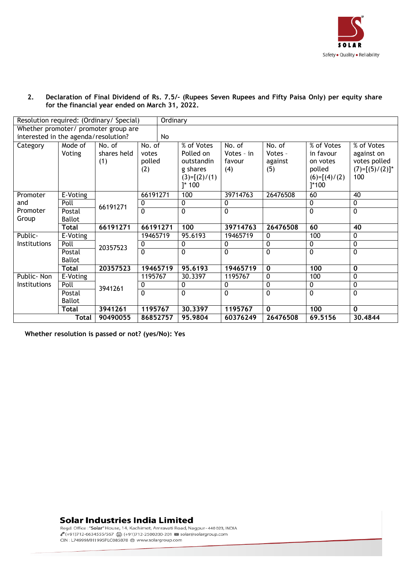

#### **2. Declaration of Final Dividend of Rs. 7.5/- (Rupees Seven Rupees and Fifty Paisa Only) per equity share for the financial year ended on March 31, 2022.**

|                                      |               | Resolution required: (Ordinary/ Special) |                | Ordinary                 |             |              |                |                   |
|--------------------------------------|---------------|------------------------------------------|----------------|--------------------------|-------------|--------------|----------------|-------------------|
|                                      |               | Whether promoter/ promoter group are     |                |                          |             |              |                |                   |
| interested in the agenda/resolution? |               |                                          | No             |                          |             |              |                |                   |
| Category                             | Mode of       | No. of                                   | No. of         | $\overline{\%}$ of Votes | No. of      | No. of       | % of Votes     | $%$ of Votes      |
|                                      | Voting        | shares held                              | votes          | Polled on                | Votes - in  | Votes -      | in favour      | against on        |
|                                      |               | (1)                                      | polled         | outstandin               | favour      | against      | on votes       | votes polled      |
|                                      |               |                                          | (2)            | g shares                 | (4)         | (5)          | polled         | $(7)=[(5)/(2)]^*$ |
|                                      |               |                                          |                | $(3)=[(2)/(1)$           |             |              | $(6)=[(4)/(2)$ | 100               |
|                                      |               |                                          |                | $]^{*}$ 100              |             |              | $]^{*}100$     |                   |
| Promoter                             | E-Voting      | 66191271                                 |                | 100                      | 39714763    | 26476508     | 60             | 40                |
| and                                  | Poll          | 66191271                                 | 0              | 0                        | 0           |              | 0              | 0                 |
| Promoter                             | Postal        |                                          | $\mathbf{0}$   | $\Omega$                 | 0           |              | 0              | $\Omega$          |
| Group                                | <b>Ballot</b> |                                          |                |                          |             |              |                |                   |
|                                      | <b>Total</b>  | 66191271                                 | 66191271       | 100                      | 39714763    | 26476508     | 60             | 40                |
| Public-                              | E-Voting      |                                          | 19465719       | 95.6193                  | 19465719    | 0            | 100            | 0                 |
| Institutions                         | Poll          | 20357523                                 | 0              | 0                        | 0           | 0            | 0              | $\mathbf 0$       |
|                                      | Postal        |                                          | $\overline{0}$ | 0                        | 0           | $\mathbf 0$  | $\overline{0}$ | $\mathbf 0$       |
|                                      | <b>Ballot</b> |                                          |                |                          |             |              |                |                   |
|                                      | <b>Total</b>  | 20357523                                 | 19465719       | 95.6193                  | 19465719    | $\mathbf{0}$ | 100            | $\mathbf 0$       |
| Public-Non                           | E-Voting      |                                          | 1195767        | 30.3397                  | 1195767     | $\mathbf{0}$ | 100            | $\mathbf 0$       |
| Institutions                         | Poll          | 3941261                                  | 0              | 0                        | 0           | 0            | 0              | $\mathbf{0}$      |
|                                      | Postal        |                                          | $\Omega$       | $\Omega$                 | $\mathbf 0$ | $\mathbf 0$  | 0              | $\mathbf{0}$      |
|                                      | <b>Ballot</b> |                                          |                |                          |             |              |                |                   |
|                                      | <b>Total</b>  | 3941261                                  | 1195767        | 30.3397                  | 1195767     | $\mathbf{0}$ | 100            | $\mathbf{0}$      |
|                                      | Total         | 90490055                                 | 86852757       | 95.9804                  | 60376249    | 26476508     | 69.5156        | 30,4844           |

**Whether resolution is passed or not? (yes/No): Yes**

### **Solar Industries India Limited**

CIN: L74999MH1995PLC085878 @ www.solargroup.com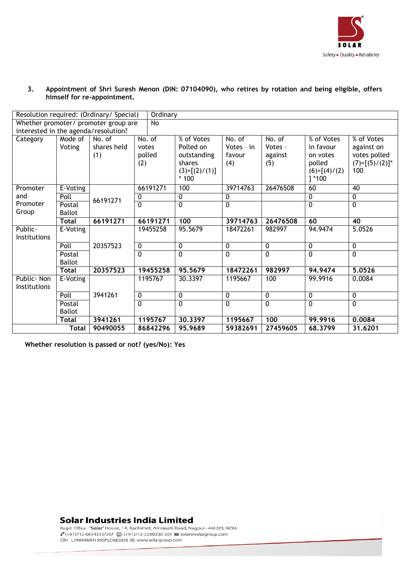

#### **3. Appointment of Shri Suresh Menon (DIN: 07104090), who retires by rotation and being eligible, offers himself for re-appointment.**

|                     | Resolution required: (Ordinary/ Special)<br>Ordinary |                                      |             |                 |                |          |                 |                   |  |  |  |
|---------------------|------------------------------------------------------|--------------------------------------|-------------|-----------------|----------------|----------|-----------------|-------------------|--|--|--|
|                     |                                                      | Whether promoter/ promoter group are | <b>No</b>   |                 |                |          |                 |                   |  |  |  |
|                     |                                                      | interested in the agenda/resolution? |             |                 |                |          |                 |                   |  |  |  |
| Category            | $\overline{\mathsf{Mode}}$ of                        | No. of                               | No. of      | % of Votes      | No. of         | No. of   | % of Votes      | % of Votes        |  |  |  |
|                     | Voting                                               | shares held                          | votes       | Polled on       | Votes - in     | Votes -  | in favour       | against on        |  |  |  |
|                     |                                                      | (1)                                  | polled      | outstanding     | favour         | against  | on votes        | votes polled      |  |  |  |
|                     |                                                      |                                      | (2)         | shares          | (4)            | (5)      | polled          | $(7)=[(5)/(2)]^*$ |  |  |  |
|                     |                                                      |                                      |             | $(3)=[(2)/(1)]$ |                |          | $(6)=[(4)/(2)]$ | 100               |  |  |  |
|                     |                                                      |                                      |             | $*100$          |                |          | $1*100$         |                   |  |  |  |
| Promoter            | E-Voting                                             |                                      | 66191271    | 100             | 39714763       | 26476508 | 60              | 40                |  |  |  |
| and                 | Poll                                                 | 66191271                             | 0           | 0               | 0              |          | $\mathbf{0}$    | $\mathbf 0$       |  |  |  |
| Promoter            | Postal                                               |                                      | $\Omega$    | $\overline{0}$  | $\overline{0}$ |          | $\overline{0}$  | $\overline{0}$    |  |  |  |
| Group               | <b>Ballot</b>                                        |                                      |             |                 |                |          |                 |                   |  |  |  |
|                     | Total                                                | 66191271                             | 66191271    | 100             | 39714763       | 26476508 | 60              | 40                |  |  |  |
| Public-             | E-Voting                                             |                                      | 19455258    | 95.5679         | 18472261       | 982997   | 94.9474         | 5.0526            |  |  |  |
| Institutions        |                                                      |                                      |             |                 |                |          |                 |                   |  |  |  |
|                     | Poll                                                 | 20357523                             | 0           | 0               | 0              | 0        | $\mathbf 0$     | $\mathbf 0$       |  |  |  |
|                     | Postal                                               |                                      | $\Omega$    | $\Omega$        | $\Omega$       | $\Omega$ | $\mathbf{0}$    | $\mathbf{0}$      |  |  |  |
|                     | <b>Ballot</b>                                        |                                      |             |                 |                |          |                 |                   |  |  |  |
|                     | <b>Total</b>                                         | 20357523                             | 19455258    | 95.5679         | 18472261       | 982997   | 94.9474         | 5.0526            |  |  |  |
| Public-Non          | E-Voting                                             |                                      | 1195767     | 30.3397         | 1195667        | 100      | 99.9916         | 0.0084            |  |  |  |
| <b>Institutions</b> |                                                      |                                      |             |                 |                |          |                 |                   |  |  |  |
|                     | Poll                                                 | 3941261                              | $\mathbf 0$ | 0               | $\mathbf 0$    | 0        | $\mathbf 0$     | $\mathbf 0$       |  |  |  |
|                     | Postal                                               |                                      | $\Omega$    | 0               | 0              | 0        | $\overline{0}$  | $\overline{0}$    |  |  |  |
|                     | <b>Ballot</b>                                        |                                      |             |                 |                |          |                 |                   |  |  |  |
|                     | <b>Total</b>                                         | 3941261                              | 1195767     | 30,3397         | 1195667        | 100      | 99.9916         | 0.0084            |  |  |  |
|                     | <b>Total</b>                                         | 90490055                             | 86842296    | 95.9689         | 59382691       | 27459605 | 68.3799         | 31.6201           |  |  |  |

**Whether resolution is passed or not? (yes/No): Yes** 

### **Solar Industries India Limited**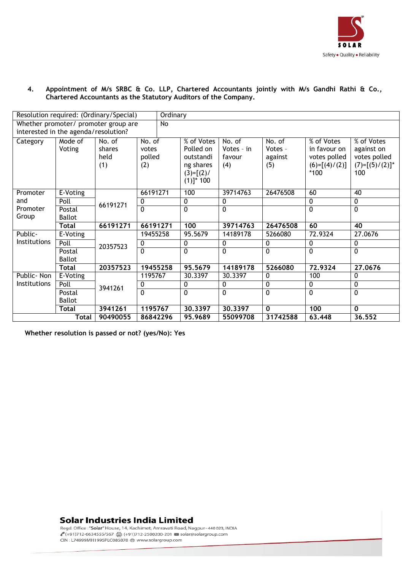

#### **4. Appointment of M/s SRBC & Co. LLP, Chartered Accountants jointly with M/s Gandhi Rathi & Co., Chartered Accountants as the Statutory Auditors of the Company.**

|              |                                      | Resolution required: (Ordinary/Special) | <b>Ordinary</b>                  |                                                                                  |                                       |                                     |                                                                         |                                                                      |
|--------------|--------------------------------------|-----------------------------------------|----------------------------------|----------------------------------------------------------------------------------|---------------------------------------|-------------------------------------|-------------------------------------------------------------------------|----------------------------------------------------------------------|
|              |                                      | Whether promoter/ promoter group are    | No                               |                                                                                  |                                       |                                     |                                                                         |                                                                      |
|              | interested in the agenda/resolution? |                                         |                                  |                                                                                  |                                       |                                     |                                                                         |                                                                      |
| Category     | Mode of<br>Voting                    | No. of<br>shares<br>held<br>(1)         | No. of<br>votes<br>polled<br>(2) | % of Votes<br>Polled on<br>outstandi<br>ng shares<br>$(3)=[(2)/$<br>$(1)]^* 100$ | No. of<br>Votes - in<br>favour<br>(4) | No. of<br>Votes -<br>against<br>(5) | % of Votes<br>in favour on<br>votes polled<br>$(6)=[(4)/(2)]$<br>$*100$ | % of Votes<br>against on<br>votes polled<br>$(7)=[(5)/(2)]^*$<br>100 |
| Promoter     | E-Voting                             |                                         | 66191271                         | 100                                                                              | 39714763                              | 26476508                            | 60                                                                      | 40                                                                   |
| and          | Poll                                 | 66191271                                | 0                                | 0                                                                                | 0                                     |                                     | 0                                                                       | 0                                                                    |
| Promoter     | Postal                               |                                         | $\mathbf{0}$                     | 0                                                                                | 0                                     |                                     | 0                                                                       | 0                                                                    |
| Group        | <b>Ballot</b>                        |                                         |                                  |                                                                                  |                                       |                                     |                                                                         |                                                                      |
|              | <b>Total</b>                         | 66191271                                | 66191271                         | 100                                                                              | 39714763                              | 26476508                            | 60                                                                      | $\overline{40}$                                                      |
| Public-      | E-Voting                             |                                         | 19455258                         | 95.5679                                                                          | 14189178                              | 5266080                             | 72.9324                                                                 | 27.0676                                                              |
| Institutions | Poll                                 | 20357523                                | 0                                | 0                                                                                | 0                                     | 0                                   | $\mathbf 0$                                                             | 0                                                                    |
|              | Postal                               |                                         | $\mathbf{0}$                     | $\Omega$                                                                         | $\Omega$                              | $\mathbf{0}$                        | 0                                                                       | $\mathbf{0}$                                                         |
|              | <b>Ballot</b>                        |                                         |                                  |                                                                                  |                                       |                                     |                                                                         |                                                                      |
|              | <b>Total</b>                         | 20357523                                | 19455258                         | 95.5679                                                                          | 14189178                              | 5266080                             | 72.9324                                                                 | 27,0676                                                              |
| Public-Non   | E-Voting                             |                                         | 1195767                          | 30.3397                                                                          | 30.3397                               | 0                                   | 100                                                                     | 0                                                                    |
| Institutions | Poll                                 | 3941261                                 | 0                                | 0                                                                                | 0                                     | $\mathbf 0$                         | 0                                                                       | 0                                                                    |
|              | Postal                               |                                         | $\overline{0}$                   | 0                                                                                | 0                                     | $\overline{0}$                      | 0                                                                       | 0                                                                    |
|              | <b>Ballot</b>                        |                                         |                                  |                                                                                  |                                       |                                     |                                                                         |                                                                      |
|              | <b>Total</b>                         | 3941261                                 | 1195767                          | 30,3397                                                                          | 30.3397                               | $\mathbf{0}$                        | 100                                                                     | $\Omega$                                                             |
|              | <b>Total</b>                         | 90490055                                | 86842296                         | 95.9689                                                                          | 55099708                              | 31742588                            | 63.448                                                                  | 36.552                                                               |

**Whether resolution is passed or not? (yes/No): Yes** 

### **Solar Industries India Limited**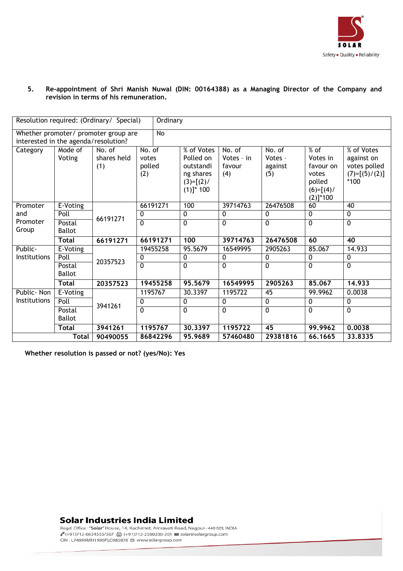

#### **5. Re-appointment of Shri Manish Nuwal (DIN: 00164388) as a Managing Director of the Company and revision in terms of his remuneration.**

|                                      |                                     | Resolution required: (Ordinary/ Special) |                                  | Ordinary |                                                                                  |                                       |                                     |                                                                                    |                                                                       |  |
|--------------------------------------|-------------------------------------|------------------------------------------|----------------------------------|----------|----------------------------------------------------------------------------------|---------------------------------------|-------------------------------------|------------------------------------------------------------------------------------|-----------------------------------------------------------------------|--|
| interested in the agenda/resolution? |                                     | Whether promoter/ promoter group are     |                                  | No       |                                                                                  |                                       |                                     |                                                                                    |                                                                       |  |
| Category                             | Mode of<br>Voting                   | No. of<br>shares held<br>(1)             | No. of<br>votes<br>polled<br>(2) |          | % of Votes<br>Polled on<br>outstandi<br>ng shares<br>$(3)=[(2)/$<br>$(1)]^* 100$ | No. of<br>Votes - in<br>favour<br>(4) | No. of<br>Votes -<br>against<br>(5) | $%$ of<br>Votes in<br>favour on<br>votes<br>polled<br>$(6)=[(4)/$<br>$(2)]^{*}100$ | % of Votes<br>against on<br>votes polled<br>$(7)=[(5)/(2)]$<br>$*100$ |  |
| Promoter                             | E-Voting                            |                                          | 66191271                         |          | 100                                                                              | 39714763                              | 26476508                            | 60                                                                                 | 40                                                                    |  |
| and                                  | Poll                                |                                          | 0                                |          | $\mathbf 0$                                                                      | 0                                     | 0                                   | 0                                                                                  | $\overline{0}$                                                        |  |
| Promoter<br>Group                    | 66191271<br>Postal<br><b>Ballot</b> |                                          | $\mathbf{0}$                     |          | $\overline{0}$                                                                   | $\mathbf{0}$                          | $\overline{0}$                      | $\mathbf{0}$                                                                       | $\overline{0}$                                                        |  |
|                                      | <b>Total</b>                        | 66191271                                 | 66191271                         |          | 100                                                                              | 39714763                              | 26476508                            | 60                                                                                 | 40                                                                    |  |
| Public-                              | E-Voting                            |                                          | 19455258                         |          | 95.5679                                                                          | 16549995                              | 2905263                             | 85.067                                                                             | 14.933                                                                |  |
| Institutions                         | Poll                                | 20357523                                 | 0                                |          | $\mathbf{0}$                                                                     | 0                                     | 0                                   | 0                                                                                  | 0                                                                     |  |
|                                      | Postal<br><b>Ballot</b>             |                                          | $\mathbf 0$                      |          | 0                                                                                | $\overline{0}$                        | $\overline{0}$                      | 0                                                                                  | $\overline{0}$                                                        |  |
|                                      | <b>Total</b>                        | 20357523                                 | 19455258                         |          | 95.5679                                                                          | 16549995                              | 2905263                             | 85.067                                                                             | 14.933                                                                |  |
| Public- Non                          | $E-Voting$                          |                                          | 1195767                          |          | 30.3397                                                                          | 1195722                               | 45                                  | 99.9962                                                                            | 0.0038                                                                |  |
| Institutions                         | Poll                                | 3941261                                  | 0                                |          | $\mathbf 0$                                                                      | $\mathbf 0$                           | $\overline{0}$                      | $\mathbf 0$                                                                        | $\mathbf 0$                                                           |  |
|                                      | Postal                              |                                          | $\mathbf{0}$                     |          | 0                                                                                | $\mathbf 0$                           | 0                                   | $\Omega$                                                                           | $\mathbf 0$                                                           |  |
|                                      | <b>Ballot</b>                       |                                          |                                  |          |                                                                                  |                                       |                                     |                                                                                    |                                                                       |  |
|                                      | <b>Total</b>                        | 3941261                                  | 1195767                          |          | 30.3397                                                                          | 1195722                               | 45                                  | 99.9962                                                                            | 0.0038                                                                |  |
|                                      | <b>Total</b>                        | 90490055                                 | 86842296                         |          | 95.9689                                                                          | 57460480                              | 29381816                            | 66.1665                                                                            | 33.8335                                                               |  |

**Whether resolution is passed or not? (yes/No): Yes** 

### **Solar Industries India Limited**

CIN: L74999MH1995PLC085878 @ www.solargroup.com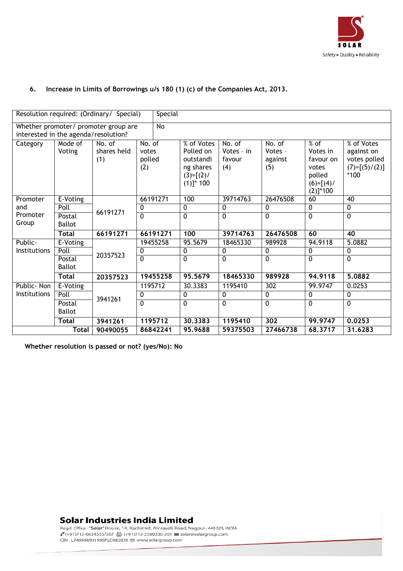

### **6. Increase in Limits of Borrowings u/s 180 (1) (c) of the Companies Act, 2013.**

|                                      |                         | Resolution required: (Ordinary/ Special) | Special                          |                                                                                  |                                         |                                     |                                                                                    |                                                                       |  |  |  |
|--------------------------------------|-------------------------|------------------------------------------|----------------------------------|----------------------------------------------------------------------------------|-----------------------------------------|-------------------------------------|------------------------------------------------------------------------------------|-----------------------------------------------------------------------|--|--|--|
| interested in the agenda/resolution? |                         | Whether promoter/ promoter group are     | $\overline{N}$                   |                                                                                  |                                         |                                     |                                                                                    |                                                                       |  |  |  |
| Category                             | Mode of<br>Voting       | No. of<br>shares held<br>(1)             | No. of<br>votes<br>polled<br>(2) | % of Votes<br>Polled on<br>outstandi<br>ng shares<br>$(3)=[(2)/$<br>$(1)]^* 100$ | No. $of$<br>Votes - in<br>favour<br>(4) | No. of<br>Votes -<br>against<br>(5) | $%$ of<br>Votes in<br>favour on<br>votes<br>polled<br>$(6)=[(4)/$<br>$(2)]^{*}100$ | % of Votes<br>against on<br>votes polled<br>$(7)=[(5)/(2)]$<br>$*100$ |  |  |  |
| Promoter                             | E-Voting                |                                          | 66191271                         | 100                                                                              | 39714763                                | 26476508                            | 60                                                                                 | 40                                                                    |  |  |  |
| and                                  | Poll                    | 66191271                                 | $\mathbf{0}$                     | 0                                                                                | $\mathbf{0}$                            | 0                                   | 0                                                                                  | 0                                                                     |  |  |  |
| Promoter<br>Group                    | Postal<br><b>Ballot</b> |                                          | $\Omega$                         | $\overline{0}$                                                                   | $\mathbf 0$                             | 0                                   | $\overline{0}$                                                                     | 0                                                                     |  |  |  |
|                                      | <b>Total</b>            | 66191271                                 | 66191271                         | 100                                                                              | 39714763                                | 26476508                            | 60                                                                                 | 40                                                                    |  |  |  |
| Public-                              | E-Voting                |                                          | 19455258                         | 95.5679                                                                          | 18465330                                | 989928                              | 94.9118                                                                            | 5.0882                                                                |  |  |  |
| Institutions                         | Poll                    | 20357523                                 | 0                                | 0                                                                                | 0                                       | $\mathbf 0$                         | $\overline{0}$                                                                     | $\mathbf 0$                                                           |  |  |  |
|                                      | Postal<br><b>Ballot</b> |                                          | $\overline{0}$                   | $\overline{0}$                                                                   | $\Omega$                                | $\overline{0}$                      | $\Omega$                                                                           | $\overline{0}$                                                        |  |  |  |
|                                      | <b>Total</b>            | 20357523                                 | 19455258                         | 95.5679                                                                          | 18465330                                | 989928                              | 94.9118                                                                            | 5.0882                                                                |  |  |  |
| Public - Non                         | E-Voting                |                                          | 1195712                          | 30.3383                                                                          | 1195410                                 | 302                                 | 99.9747                                                                            | 0.0253                                                                |  |  |  |
| <b>Institutions</b>                  | Poll                    | 3941261                                  | 0                                | $\pmb{0}$                                                                        | $\mathbf{0}$                            | $\pmb{0}$                           | 0                                                                                  | 0                                                                     |  |  |  |
|                                      | Postal<br><b>Ballot</b> |                                          | $\overline{0}$                   | 0                                                                                | $\mathbf 0$                             | 0                                   | 0                                                                                  | 0                                                                     |  |  |  |
| 3941261<br><b>Total</b>              |                         | 1195712                                  | 30.3383                          | 1195410                                                                          | 302                                     | 99.9747                             | 0.0253                                                                             |                                                                       |  |  |  |
|                                      | <b>Total</b>            | 90490055                                 | 86842241                         | 95.9688                                                                          | 59375503                                | 27466738                            | 68,3717                                                                            | 31.6283                                                               |  |  |  |

**Whether resolution is passed or not? (yes/No): No** 

### **Solar Industries India Limited**

CIN : L74999MH1995PLC085878 ⊕ www.solargroup.com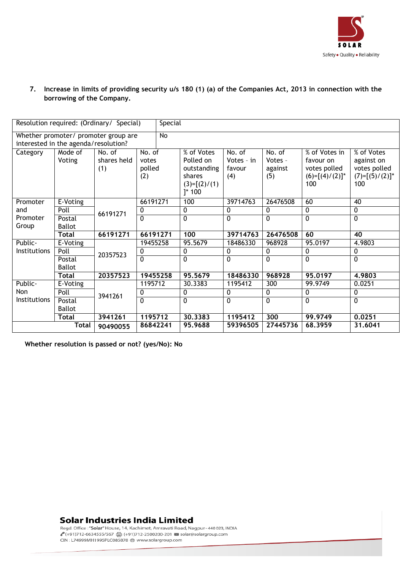

### **7. Increase in limits of providing security u/s 180 (1) (a) of the Companies Act, 2013 in connection with the borrowing of the Company.**

|              |                                      | Resolution required: (Ordinary / Special) |                                  | Special        |                                                                                   |                                       |                                     |                                                                        |                                                                      |
|--------------|--------------------------------------|-------------------------------------------|----------------------------------|----------------|-----------------------------------------------------------------------------------|---------------------------------------|-------------------------------------|------------------------------------------------------------------------|----------------------------------------------------------------------|
|              |                                      | Whether promoter/ promoter group are      |                                  | $\overline{N}$ |                                                                                   |                                       |                                     |                                                                        |                                                                      |
|              | interested in the agenda/resolution? |                                           |                                  |                |                                                                                   |                                       |                                     |                                                                        |                                                                      |
| Category     | Mode of<br>Voting                    | No. of<br>shares held<br>(1)              | No. of<br>votes<br>polled<br>(2) |                | % of Votes<br>Polled on<br>outstanding<br>shares<br>$(3)=[(2)/(1)$<br>$]^{*}$ 100 | No. of<br>Votes - in<br>favour<br>(4) | No. of<br>Votes -<br>against<br>(5) | % of Votes in<br>favour on<br>votes polled<br>$(6)=[(4)/(2)]^*$<br>100 | % of Votes<br>against on<br>votes polled<br>$(7)=[(5)/(2)]^*$<br>100 |
| Promoter     | E-Voting                             |                                           | 66191271                         |                | 100                                                                               | 39714763                              | 26476508                            | 60                                                                     | 40                                                                   |
| and          | Poll                                 | 66191271                                  | 0                                |                | 0                                                                                 | 0                                     | $\mathbf{0}$                        | 0                                                                      | 0                                                                    |
| Promoter     | Postal                               |                                           | $\overline{0}$                   |                | $\mathbf{0}$                                                                      | 0                                     | $\Omega$                            | 0                                                                      | $\overline{0}$                                                       |
| Group        | <b>Ballot</b>                        |                                           |                                  |                |                                                                                   |                                       |                                     |                                                                        |                                                                      |
|              | <b>Total</b>                         | 66191271                                  | 66191271                         |                | 100                                                                               | 39714763                              | 26476508                            | 60                                                                     | 40                                                                   |
| Public-      | E-Voting                             |                                           | 19455258                         |                | 95.5679                                                                           | 18486330                              | 968928                              | 95.0197                                                                | 4.9803                                                               |
| Institutions | Poll                                 | 20357523                                  | 0                                |                | 0                                                                                 | 0                                     | 0                                   | 0                                                                      | 0                                                                    |
|              | Postal                               |                                           | $\overline{0}$                   |                | $\overline{0}$                                                                    | $\overline{0}$                        | $\overline{0}$                      | $\overline{0}$                                                         | $\overline{0}$                                                       |
|              | <b>Ballot</b>                        |                                           |                                  |                |                                                                                   |                                       |                                     |                                                                        |                                                                      |
|              | <b>Total</b>                         | 20357523                                  | 19455258                         |                | 95.5679                                                                           | 18486330                              | 968928                              | 95,0197                                                                | 4.9803                                                               |
| Public-      | E-Voting                             |                                           | 1195712                          |                | 30.3383                                                                           | 1195412                               | 300                                 | 99.9749                                                                | 0.0251                                                               |
| Non          | Poll                                 | 3941261                                   | 0                                |                | 0                                                                                 | 0                                     | 0                                   | 0                                                                      | 0                                                                    |
| Institutions | Postal                               |                                           | $\mathbf{0}$                     |                | $\mathbf{0}$                                                                      | $\Omega$                              | $\Omega$                            | $\Omega$                                                               | $\mathbf 0$                                                          |
|              | <b>Ballot</b>                        |                                           |                                  |                |                                                                                   |                                       |                                     |                                                                        |                                                                      |
|              | <b>Total</b>                         | 3941261                                   | 1195712                          |                | 30,3383                                                                           | 1195412                               | 300                                 | 99.9749                                                                | 0,0251                                                               |
|              | <b>Total</b>                         | 90490055                                  | 86842241                         |                | 95.9688                                                                           | 59396505                              | 27445736                            | 68.3959                                                                | 31.6041                                                              |

**Whether resolution is passed or not? (yes/No): No** 

### **Solar Industries India Limited**

CIN: L74999MH1995PLC085878 @ www.solargroup.com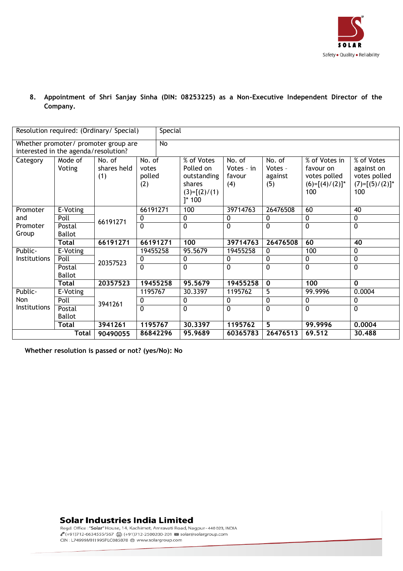

**8. Appointment of Shri Sanjay Sinha (DIN: 08253225) as a Non-Executive Independent Director of the Company.**

|                     |                                      | Resolution required: (Ordinary/ Special) |                                  | Special |                                                                                   |                                       |                                     |                                                                        |                                                                      |  |  |
|---------------------|--------------------------------------|------------------------------------------|----------------------------------|---------|-----------------------------------------------------------------------------------|---------------------------------------|-------------------------------------|------------------------------------------------------------------------|----------------------------------------------------------------------|--|--|
|                     | interested in the agenda/resolution? | Whether promoter/ promoter group are     |                                  | No      |                                                                                   |                                       |                                     |                                                                        |                                                                      |  |  |
| Category            | Mode of<br>Voting                    | No. of<br>shares held<br>(1)             | No. of<br>votes<br>polled<br>(2) |         | % of Votes<br>Polled on<br>outstanding<br>shares<br>$(3)=[(2)/(1)$<br>$]^{*}$ 100 | No. of<br>Votes - in<br>favour<br>(4) | No. of<br>Votes -<br>against<br>(5) | % of Votes in<br>favour on<br>votes polled<br>$(6)=[(4)/(2)]^*$<br>100 | % of Votes<br>against on<br>votes polled<br>$(7)=[(5)/(2)]^*$<br>100 |  |  |
| Promoter            | E-Voting                             |                                          | 66191271                         |         | 100                                                                               | 39714763                              | 26476508                            | 60                                                                     | 40                                                                   |  |  |
| and                 | Poll                                 | 66191271                                 | 0                                |         | 0                                                                                 | 0                                     | 0                                   | 0                                                                      | 0                                                                    |  |  |
| Promoter            | Postal                               |                                          | $\mathbf 0$                      |         | 0                                                                                 | $\overline{0}$                        | 0                                   | 0                                                                      | 0                                                                    |  |  |
| Group               | <b>Ballot</b>                        |                                          |                                  |         |                                                                                   |                                       |                                     |                                                                        |                                                                      |  |  |
|                     | <b>Total</b>                         | 66191271                                 | 66191271                         |         | 100                                                                               | 39714763                              | 26476508                            | 60                                                                     | 40                                                                   |  |  |
| Public-             | E-Voting                             |                                          | 19455258                         |         | 95.5679                                                                           | 19455258                              | 0                                   | 100                                                                    | 0                                                                    |  |  |
| Institutions        | Poll                                 | 20357523                                 | 0                                |         | 0                                                                                 | 0                                     | 0                                   | 0                                                                      | 0                                                                    |  |  |
|                     | Postal                               |                                          | $\overline{0}$                   |         | $\overline{0}$                                                                    | $\overline{0}$                        | $\overline{0}$                      | 0                                                                      | 0                                                                    |  |  |
|                     | <b>Ballot</b>                        |                                          |                                  |         |                                                                                   |                                       |                                     |                                                                        |                                                                      |  |  |
|                     | Total                                | 20357523                                 | 19455258                         |         | 95.5679                                                                           | 19455258                              | $\mathbf 0$                         | 100                                                                    | $\mathbf 0$                                                          |  |  |
| Public-             | E-Voting                             |                                          | 1195767                          |         | 30.3397                                                                           | 1195762                               | $\overline{5}$                      | 99.9996                                                                | 0.0004                                                               |  |  |
| Non                 | Poll                                 | 3941261                                  | 0                                |         | 0                                                                                 | $\mathbf 0$                           | 0                                   | 0                                                                      | $\mathbf 0$                                                          |  |  |
| <b>Institutions</b> | Postal                               |                                          | $\mathbf{0}$                     |         | $\overline{0}$                                                                    | $\overline{0}$                        | $\overline{0}$                      | 0                                                                      | $\overline{0}$                                                       |  |  |
|                     | <b>Ballot</b>                        |                                          |                                  |         |                                                                                   |                                       |                                     |                                                                        |                                                                      |  |  |
|                     | <b>Total</b>                         | 3941261                                  | 1195767                          |         | 30.3397                                                                           | 1195762                               | 5                                   | 99.9996                                                                | 0,0004                                                               |  |  |
|                     | Total                                | 90490055                                 | 86842296                         |         | 95.9689                                                                           | 60365783                              | 26476513                            | 69.512                                                                 | 30,488                                                               |  |  |

**Whether resolution is passed or not? (yes/No): No** 

#### **Solar Industries India Limited**

CIN : L74999MH1995PLC085878 ⊕ www.solargroup.com